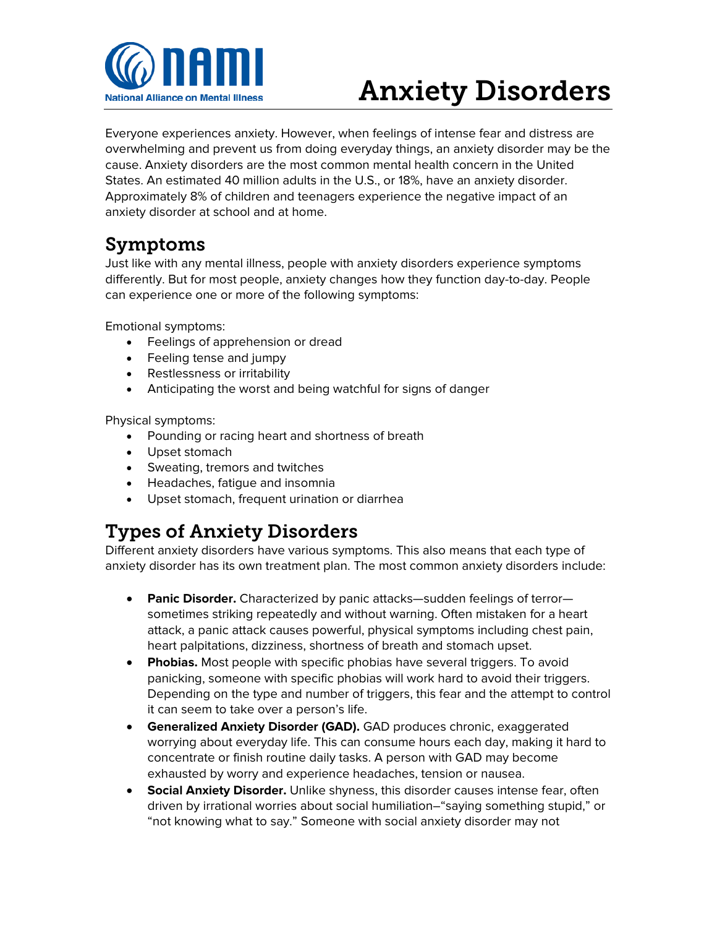

# Anxiety Disorders

Everyone experiences anxiety. However, when feelings of intense fear and distress are overwhelming and prevent us from doing everyday things, an anxiety disorder may be the cause. Anxiety disorders are the most common mental health concern in the United States. An estimated 40 million adults in the U.S., or 18%, have an anxiety disorder. Approximately 8% of children and teenagers experience the negative impact of an anxiety disorder at school and at home.

## Symptoms

Just like with any mental illness, people with anxiety disorders experience symptoms differently. But for most people, anxiety changes how they function day-to-day. People can experience one or more of the following symptoms:

Emotional symptoms:

- Feelings of apprehension or dread
- Feeling tense and jumpy
- Restlessness or irritability
- Anticipating the worst and being watchful for signs of danger

Physical symptoms:

- Pounding or racing heart and shortness of breath
- Upset stomach
- Sweating, tremors and twitches
- Headaches, fatigue and insomnia
- Upset stomach, frequent urination or diarrhea

## Types of Anxiety Disorders

Different anxiety disorders have various symptoms. This also means that each type of anxiety disorder has its own treatment plan. The most common anxiety disorders include:

- **Panic Disorder.** Characterized by panic attacks—sudden feelings of terror sometimes striking repeatedly and without warning. Often mistaken for a heart attack, a panic attack causes powerful, physical symptoms including chest pain, heart palpitations, dizziness, shortness of breath and stomach upset.
- **Phobias.** Most people with specific phobias have several triggers. To avoid panicking, someone with specific phobias will work hard to avoid their triggers. Depending on the type and number of triggers, this fear and the attempt to control it can seem to take over a person's life.
- **Generalized Anxiety Disorder (GAD).** GAD produces chronic, exaggerated worrying about everyday life. This can consume hours each day, making it hard to concentrate or finish routine daily tasks. A person with GAD may become exhausted by worry and experience headaches, tension or nausea.
- **Social Anxiety Disorder.** Unlike shyness, this disorder causes intense fear, often driven by irrational worries about social humiliation–"saying something stupid," or "not knowing what to say." Someone with social anxiety disorder may not